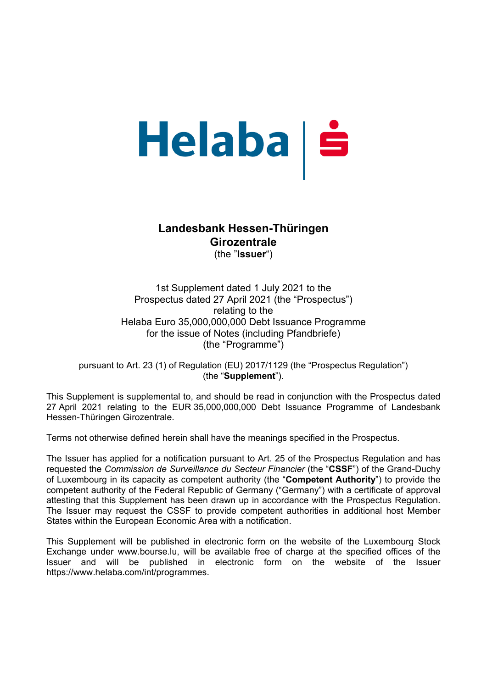# Helaba | Š

# **Landesbank Hessen-Thüringen Girozentrale**  (the "**Issuer**")

1st Supplement dated 1 July 2021 to the Prospectus dated 27 April 2021 (the "Prospectus") relating to the Helaba Euro 35,000,000,000 Debt Issuance Programme for the issue of Notes (including Pfandbriefe) (the "Programme")

pursuant to Art. 23 (1) of Regulation (EU) 2017/1129 (the "Prospectus Regulation") (the "**Supplement**").

This Supplement is supplemental to, and should be read in conjunction with the Prospectus dated 27 April 2021 relating to the EUR 35,000,000,000 Debt Issuance Programme of Landesbank Hessen-Thüringen Girozentrale.

Terms not otherwise defined herein shall have the meanings specified in the Prospectus.

The Issuer has applied for a notification pursuant to Art. 25 of the Prospectus Regulation and has requested the *Commission de Surveillance du Secteur Financier* (the "**CSSF**") of the Grand-Duchy of Luxembourg in its capacity as competent authority (the "**Competent Authority**") to provide the competent authority of the Federal Republic of Germany ("Germany") with a certificate of approval attesting that this Supplement has been drawn up in accordance with the Prospectus Regulation. The Issuer may request the CSSF to provide competent authorities in additional host Member States within the European Economic Area with a notification.

This Supplement will be published in electronic form on the website of the Luxembourg Stock Exchange under www.bourse.lu, will be available free of charge at the specified offices of the Issuer and will be published in electronic form on the website of the Issuer https://www.helaba.com/int/programmes.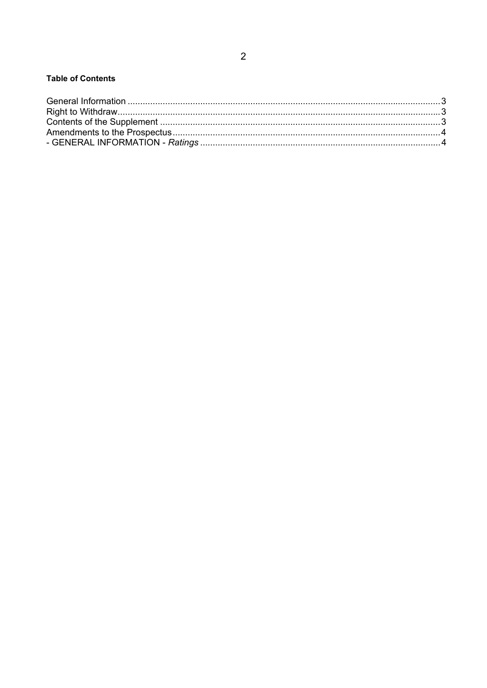### **Table of Contents**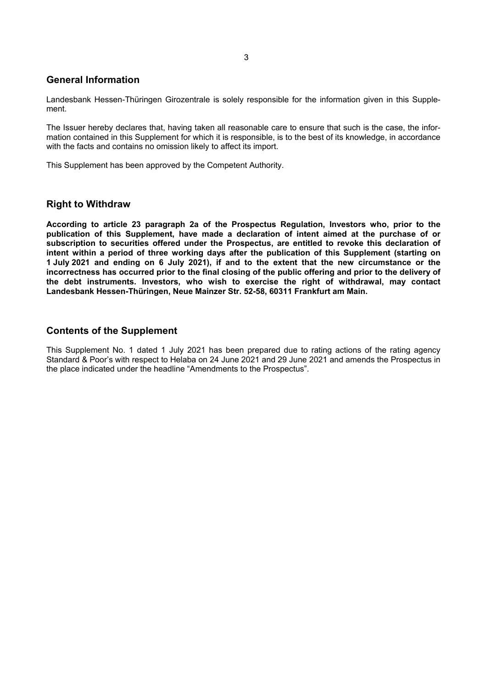### **General Information**

Landesbank Hessen-Thüringen Girozentrale is solely responsible for the information given in this Supplement.

The Issuer hereby declares that, having taken all reasonable care to ensure that such is the case, the information contained in this Supplement for which it is responsible, is to the best of its knowledge, in accordance with the facts and contains no omission likely to affect its import.

This Supplement has been approved by the Competent Authority.

### **Right to Withdraw**

**According to article 23 paragraph 2a of the Prospectus Regulation, Investors who, prior to the publication of this Supplement, have made a declaration of intent aimed at the purchase of or subscription to securities offered under the Prospectus, are entitled to revoke this declaration of intent within a period of three working days after the publication of this Supplement (starting on 1 July 2021 and ending on 6 July 2021), if and to the extent that the new circumstance or the incorrectness has occurred prior to the final closing of the public offering and prior to the delivery of the debt instruments. Investors, who wish to exercise the right of withdrawal, may contact Landesbank Hessen-Thüringen, Neue Mainzer Str. 52-58, 60311 Frankfurt am Main.** 

### **Contents of the Supplement**

This Supplement No. 1 dated 1 July 2021 has been prepared due to rating actions of the rating agency Standard & Poor's with respect to Helaba on 24 June 2021 and 29 June 2021 and amends the Prospectus in the place indicated under the headline "Amendments to the Prospectus".